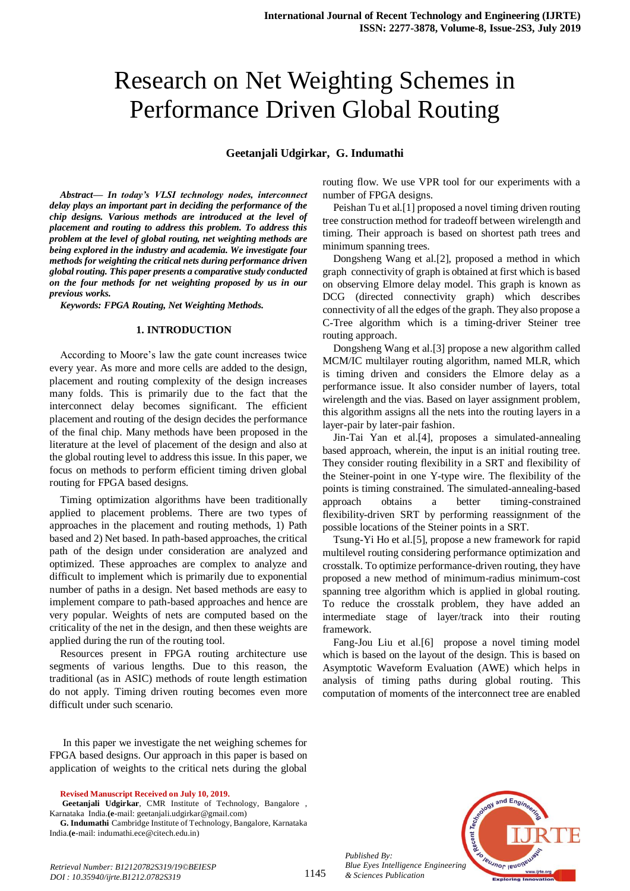# Research on Net Weighting Schemes in Performance Driven Global Routing

#### **Geetanjali Udgirkar, G. Indumathi**

*Abstract***—** *In today's VLSI technology nodes, interconnect delay plays an important part in deciding the performance of the chip designs. Various methods are introduced at the level of placement and routing to address this problem. To address this problem at the level of global routing, net weighting methods are being explored in the industry and academia. We investigate four methods for weighting the critical nets during performance driven global routing. This paper presents a comparative study conducted on the four methods for net weighting proposed by us in our previous works.*

*Keywords: FPGA Routing, Net Weighting Methods.*

#### **1. INTRODUCTION**

According to Moore's law the gate count increases twice every year. As more and more cells are added to the design, placement and routing complexity of the design increases many folds. This is primarily due to the fact that the interconnect delay becomes significant. The efficient placement and routing of the design decides the performance of the final chip. Many methods have been proposed in the literature at the level of placement of the design and also at the global routing level to address this issue. In this paper, we focus on methods to perform efficient timing driven global routing for FPGA based designs.

Timing optimization algorithms have been traditionally applied to placement problems. There are two types of approaches in the placement and routing methods, 1) Path based and 2) Net based. In path-based approaches, the critical path of the design under consideration are analyzed and optimized. These approaches are complex to analyze and difficult to implement which is primarily due to exponential number of paths in a design. Net based methods are easy to implement compare to path-based approaches and hence are very popular. Weights of nets are computed based on the criticality of the net in the design, and then these weights are applied during the run of the routing tool.

Resources present in FPGA routing architecture use segments of various lengths. Due to this reason, the traditional (as in ASIC) methods of route length estimation do not apply. Timing driven routing becomes even more difficult under such scenario.

In this paper we investigate the net weighing schemes for FPGA based designs. Our approach in this paper is based on application of weights to the critical nets during the global

**Revised Manuscript Received on July 10, 2019.**

**Geetanjali Udgirkar**, CMR Institute of Technology, Bangalore , Karnataka India.**(e**-mail[: geetanjali.udgirkar@gmail.com\)](mailto:geetanjali.udgirkar@gmail.com)

**G. Indumathi** Cambridge Institute of Technology, Bangalore, Karnataka India.**(e**-mail: indumathi.ece@citech.edu.in)

routing flow. We use VPR tool for our experiments with a number of FPGA designs.

Peishan Tu et al.[1] proposed a novel timing driven routing tree construction method for tradeoff between wirelength and timing. Their approach is based on shortest path trees and minimum spanning trees.

Dongsheng Wang et al.[2], proposed a method in which graph connectivity of graph is obtained at first which is based on observing Elmore delay model. This graph is known as DCG (directed connectivity graph) which describes connectivity of all the edges of the graph. They also propose a C-Tree algorithm which is a timing-driver Steiner tree routing approach.

Dongsheng Wang et al.[3] propose a new algorithm called MCM/IC multilayer routing algorithm, named MLR, which is timing driven and considers the Elmore delay as a performance issue. It also consider number of layers, total wirelength and the vias. Based on layer assignment problem, this algorithm assigns all the nets into the routing layers in a layer-pair by later-pair fashion.

Jin-Tai Yan et al.[4], proposes a simulated-annealing based approach, wherein, the input is an initial routing tree. They consider routing flexibility in a SRT and flexibility of the Steiner-point in one Y-type wire. The flexibility of the points is timing constrained. The simulated-annealing-based approach obtains a better timing-constrained flexibility-driven SRT by performing reassignment of the possible locations of the Steiner points in a SRT.

Tsung-Yi Ho et al.[5], propose a new framework for rapid multilevel routing considering performance optimization and crosstalk. To optimize performance-driven routing, they have proposed a new method of minimum-radius minimum-cost spanning tree algorithm which is applied in global routing. To reduce the crosstalk problem, they have added an intermediate stage of layer/track into their routing framework.

Fang-Jou Liu et al.[6] propose a novel timing model which is based on the layout of the design. This is based on Asymptotic Waveform Evaluation (AWE) which helps in analysis of timing paths during global routing. This computation of moments of the interconnect tree are enabled



*Published By: Blue Eyes Intelligence Engineering & Sciences Publication* 

1145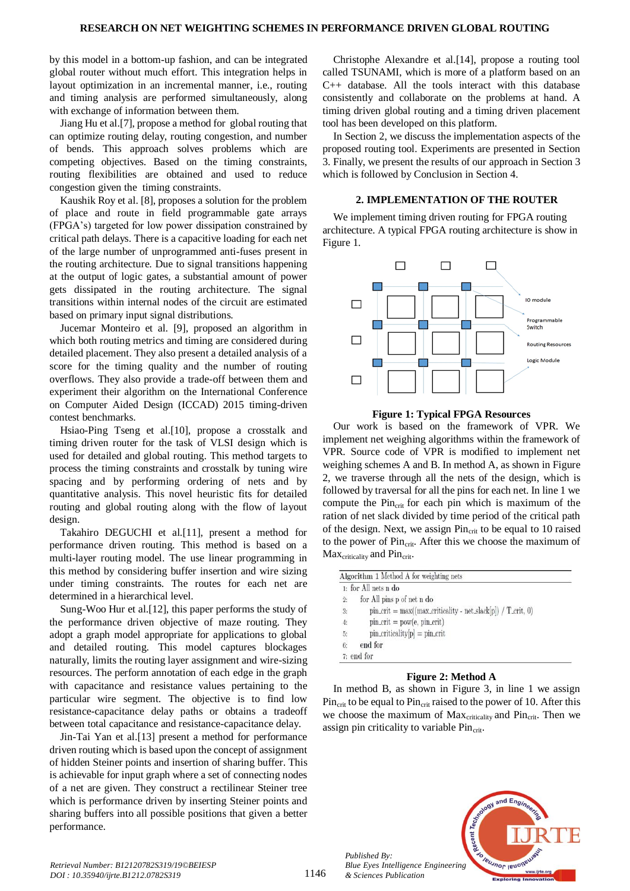by this model in a bottom-up fashion, and can be integrated global router without much effort. This integration helps in layout optimization in an incremental manner, i.e., routing and timing analysis are performed simultaneously, along with exchange of information between them.

Jiang Hu et al.[7], propose a method for global routing that can optimize routing delay, routing congestion, and number of bends. This approach solves problems which are competing objectives. Based on the timing constraints, routing flexibilities are obtained and used to reduce congestion given the timing constraints.

Kaushik Roy et al. [8], proposes a solution for the problem of place and route in field programmable gate arrays (FPGA's) targeted for low power dissipation constrained by critical path delays. There is a capacitive loading for each net of the large number of unprogrammed anti-fuses present in the routing architecture. Due to signal transitions happening at the output of logic gates, a substantial amount of power gets dissipated in the routing architecture. The signal transitions within internal nodes of the circuit are estimated based on primary input signal distributions.

Jucemar Monteiro et al. [9], proposed an algorithm in which both routing metrics and timing are considered during detailed placement. They also present a detailed analysis of a score for the timing quality and the number of routing overflows. They also provide a trade-off between them and experiment their algorithm on the International Conference on Computer Aided Design (ICCAD) 2015 timing-driven contest benchmarks.

Hsiao-Ping Tseng et al.[10], propose a crosstalk and timing driven router for the task of VLSI design which is used for detailed and global routing. This method targets to process the timing constraints and crosstalk by tuning wire spacing and by performing ordering of nets and by quantitative analysis. This novel heuristic fits for detailed routing and global routing along with the flow of layout design.

Takahiro DEGUCHI et al.[11], present a method for performance driven routing. This method is based on a multi-layer routing model. The use linear programming in this method by considering buffer insertion and wire sizing under timing constraints. The routes for each net are determined in a hierarchical level.

Sung-Woo Hur et al.[12], this paper performs the study of the performance driven objective of maze routing. They adopt a graph model appropriate for applications to global and detailed routing. This model captures blockages naturally, limits the routing layer assignment and wire-sizing resources. The perform annotation of each edge in the graph with capacitance and resistance values pertaining to the particular wire segment. The objective is to find low resistance-capacitance delay paths or obtains a tradeoff between total capacitance and resistance-capacitance delay.

Jin-Tai Yan et al.[13] present a method for performance driven routing which is based upon the concept of assignment of hidden Steiner points and insertion of sharing buffer. This is achievable for input graph where a set of connecting nodes of a net are given. They construct a rectilinear Steiner tree which is performance driven by inserting Steiner points and sharing buffers into all possible positions that given a better performance.

Christophe Alexandre et al.[14], propose a routing tool called TSUNAMI, which is more of a platform based on an C++ database. All the tools interact with this database consistently and collaborate on the problems at hand. A timing driven global routing and a timing driven placement tool has been developed on this platform.

In Section 2, we discuss the implementation aspects of the proposed routing tool. Experiments are presented in Section 3. Finally, we present the results of our approach in Section 3 which is followed by Conclusion in Section 4.

#### **2. IMPLEMENTATION OF THE ROUTER**

We implement timing driven routing for FPGA routing architecture. A typical FPGA routing architecture is show in Figure 1.



**Figure 1: Typical FPGA Resources**

Our work is based on the framework of VPR. We implement net weighing algorithms within the framework of VPR. Source code of VPR is modified to implement net weighing schemes A and B. In method A, as shown in Figure 2, we traverse through all the nets of the design, which is followed by traversal for all the pins for each net. In line 1 we compute the  $Pin_{crit}$  for each pin which is maximum of the ration of net slack divided by time period of the critical path of the design. Next, we assign Pin<sub>crit</sub> to be equal to 10 raised to the power of  $Pin_{\text{crit}}$ . After this we choose the maximum of Max<sub>criticality</sub> and Pin<sub>crit</sub>.

|                  | 1: for All nets n do                                               |
|------------------|--------------------------------------------------------------------|
| 2:               | for All pins p of net n do                                         |
| $3\mathrm{:}$    | $pin\_crit = max((max\_criticality - net\_slack[p]) / T\_crit, 0)$ |
| $\overline{4}$ : | $pin\_crit = pow(e, pin\_crit)$                                    |
|                  | $pin\_criticality[p] = pin\_crit$                                  |
| $5:$ $6:$        | end for                                                            |
|                  | $7:$ end for                                                       |

#### **Figure 2: Method A**

In method B, as shown in Figure 3, in line 1 we assign  $Pin_{\text{crit}}$  to be equal to  $Pin_{\text{crit}}$  raised to the power of 10. After this we choose the maximum of  $Max_{\text{criticality}}$  and  $Pin_{\text{crit}}$ . Then we assign pin criticality to variable  $Pin_{crit}$ .



*Published By:*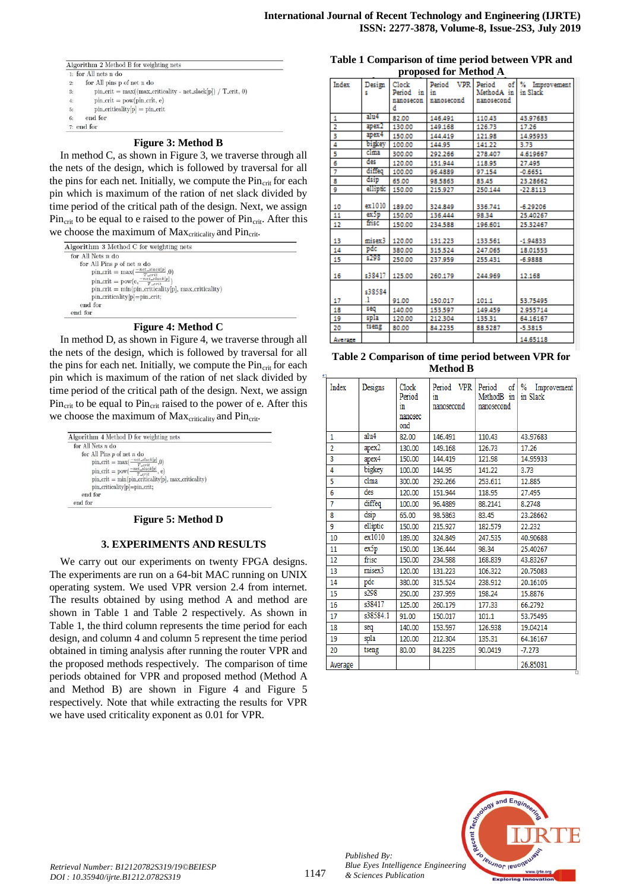Algorithm 2 Method B for weighting nets

- 1: for All nets n do  $^{2}$
- for All pins  $\bold{p}$  of net  $\bold{n}$  do pin\_crit = max((max\_criticality - net\_slack[p]) / T\_crit, 0)
- $pin\_crit = pow(pin\_crit, e)$
- $\text{pin\_criticality}[p] = \text{pin\_crit}$
- end for  $\alpha$

#### $7:$  end for

#### **Figure 3: Method B**

In method C, as shown in Figure 3, we traverse through all the nets of the design, which is followed by traversal for all the pins for each net. Initially, we compute the  $Pin_{crit}$  for each pin which is maximum of the ration of net slack divided by time period of the critical path of the design. Next, we assign  $Pin_{\text{crit}}$  to be equal to e raised to the power of  $Pin_{\text{crit}}$ . After this we choose the maximum of Max<sub>criticality</sub> and Pin<sub>crit</sub>.

| for All Nets $n$ do                                      |  |
|----------------------------------------------------------|--|
| for All Pins $p$ of net $n$ do                           |  |
| $pin\_crit = max(\frac{-net\_stack[p]}{T\_crit},0)$      |  |
| $pin\_crit = pow(e, \frac{-net\_slack[p]}{T\_crit})$     |  |
| $pin\_crit = min(pin\_criticality[p], max\_criticality)$ |  |
| pin_criticality[p]=pin_crit;                             |  |
| end for                                                  |  |
| end for                                                  |  |

#### **Figure 4: Method C**

In method D, as shown in Figure 4, we traverse through all the nets of the design, which is followed by traversal for all the pins for each net. Initially, we compute the  $Pin_{crit}$  for each pin which is maximum of the ration of net slack divided by time period of the critical path of the design. Next, we assign  $Pin_{crit}$  to be equal to  $Pin_{crit}$  raised to the power of e. After this we choose the maximum of Max<sub>criticality</sub> and Pin<sub>crit</sub>.

| Algorithm 4 Method D for weighting nets<br>for All Nets $n$ do |  |
|----------------------------------------------------------------|--|
|                                                                |  |
| for All Pins $p$ of net $n$ do                                 |  |
| pin_crit = max( $\frac{-net\_stack[p]}{T\_crit}$ ,0)           |  |
| $pin\_crit = pow(\frac{-net\_slack[p]}{T\_crit}, e)$           |  |
| $pin\_crit = min(pin\_criticality[p], max\_criticality)$       |  |
| pin_criticality[p]=pin_crit;                                   |  |
| end for                                                        |  |
| end for                                                        |  |

#### **Figure 5: Method D**

#### **3. EXPERIMENTS AND RESULTS**

We carry out our experiments on twenty FPGA designs. The experiments are run on a 64-bit MAC running on UNIX operating system. We used VPR version 2.4 from internet. The results obtained by using method A and method are shown in Table 1 and Table 2 respectively. As shown in Table 1, the third column represents the time period for each design, and column 4 and column 5 represent the time period obtained in timing analysis after running the router VPR and the proposed methods respectively. The comparison of time periods obtained for VPR and proposed method (Method A and Method B) are shown in Figure 4 and Figure 5 respectively. Note that while extracting the results for VPR we have used criticality exponent as 0.01 for VPR.

| Table 1 Comparison of time period between VPR and |
|---------------------------------------------------|
| proposed for Method A                             |

|          | proposed for interned in |                                         |                                |                                                   |               |  |  |
|----------|--------------------------|-----------------------------------------|--------------------------------|---------------------------------------------------|---------------|--|--|
| Index    | Design                   | Clock<br>in<br>Period<br>nanosecon<br>d | Period VPR<br>in<br>nanosecond | Period<br>of<br>MethodA in in Slack<br>nanosecond | % Improvement |  |  |
| 1        | alu4                     | 82.00                                   | 146,491                        | 110.43                                            | 43.97683      |  |  |
| z        | apex2                    | 130.00                                  | 149,168                        | 126.73                                            | 17.26         |  |  |
| 3        | apex4                    | 150.00                                  | 144,419                        | 121.98                                            | 14,95933      |  |  |
| 4        | bigkey                   | 100.00                                  | 144.95                         | 141.22                                            | 3.73          |  |  |
| 5        | clma                     | 300.00                                  | 292.266                        | 278,407                                           | 4.619667      |  |  |
| 6        | des                      | 120.00                                  | 151.944                        | 118.95                                            | 27,495        |  |  |
| 7        | diffeq                   | 100.00                                  | 96,4889                        | 97.154                                            | $-0.6651$     |  |  |
| 8        | dsip                     | 65.00                                   | 98.5863                        | 83.45                                             | 23.28662      |  |  |
| 9        | elliptic                 | 150.00                                  | 215.927                        | 250.144                                           | $-22.8113$    |  |  |
| 10       | ex1010 189.00            |                                         | 324,849                        | 336.741                                           | $-6.29206$    |  |  |
| 11       | ex5p                     | 150.00                                  | 136,444                        | 98.34                                             | 25.40267      |  |  |
| 12       | frisc                    | 150.00                                  | 234.588                        | 196,601                                           | 25.32467      |  |  |
| 13       | misex3                   | 120.00                                  | 131.223                        | 133.561                                           | $-1.94833$    |  |  |
| 14       | pdc                      | 380.00                                  | 315.524                        | 247.065                                           | 18.01553      |  |  |
| 15       | s298                     | 250.00                                  | 237.959                        | 255.431                                           | $-6.9888$     |  |  |
| 16       | s38417                   | 125.00                                  | 260.179                        | 244.969                                           | 12.168        |  |  |
| 17       | s38584<br>1              |                                         |                                |                                                   |               |  |  |
|          | seq                      | 91.00                                   | 150.017                        | 101.1                                             | 53.75495      |  |  |
| 18<br>19 | spla                     | 140.00<br>120.00                        | 153.597<br>212.304             | 149,459<br>135.31                                 | 2.955714      |  |  |
|          | tseng                    |                                         |                                |                                                   | 64.16167      |  |  |
| 20       |                          | 80.00                                   | 84.2235                        | 88.5287                                           | $-5.3815$     |  |  |
| Average  |                          |                                         |                                |                                                   | 14.65118      |  |  |

#### **Table 2 Comparison of time period between VPR for Method B**

| Index          | Designs           | Clock<br>Period<br>in<br>nanosec<br>ond | Period VPR<br>in<br>nanosecond | of  <br>Period<br>MethodB in<br>nanosecond | $\%$<br>Improvement<br>in Slack |
|----------------|-------------------|-----------------------------------------|--------------------------------|--------------------------------------------|---------------------------------|
| 1              | alu4              | 82.00                                   | 146.491                        | 110.43                                     | 43.97683                        |
| $\overline{a}$ | apex <sub>2</sub> | 130.00                                  | 149.168                        | 126.73                                     | 17.26                           |
| 3              | apex4             | 150.00                                  | 144.419                        | 121.98                                     | 14.95933                        |
| 4              | bigkey            | 100.00                                  | 144.95                         | 141.22                                     | 3.73                            |
| 5              | clma              | 300.00                                  | 292.266                        | 253.611                                    | 12.885                          |
| 6              | des               | 120.00                                  | 151.944                        | 118.95                                     | 27.495                          |
| 7              | diffeq            | 100.00                                  | 96,4889                        | 88.2141                                    | 8.2748                          |
| 8              | dsip              | 65.00                                   | 98.5863                        | 83.45                                      | 23.28662                        |
| 9              | elliptic          | 150.00                                  | 215.927                        | 182.579                                    | 22.232                          |
| 10             | ex1010            | 189.00                                  | 324.849                        | 247.535                                    | 40.90688                        |
| 11             | ex5p              | 150.00                                  | 136.444                        | 98.34                                      | 25.40267                        |
| 12             | frisc             | 150.00                                  | 234.588                        | 168.839                                    | 43.83267                        |
| 13             | misex3            | 120.00                                  | 131.223                        | 106.322                                    | 20.75083                        |
| 14             | pdc               | 380.00                                  | 315.524                        | 238.912                                    | 20.16105                        |
| 15             | s298              | 250.00                                  | 237.959                        | 198.24                                     | 15.8876                         |
| 16             | s38417            | 125.00                                  | 260.179                        | 177.33                                     | 66.2792                         |
| 17             | s38584.1          | 91.00                                   | 150.017                        | 101.1                                      | 53.75495                        |
| 18             | seq               | 140.00                                  | 153.597                        | 126.938                                    | 19.04214                        |
| 19             | spla              | 120.00                                  | 212.304                        | 135.31                                     | 64.16167                        |
| 20             | tseng             | 80.00                                   | 84.2235                        | 90.0419                                    | $-7.273$                        |
| Average        |                   |                                         |                                |                                            | 26.85031                        |



*Published By:*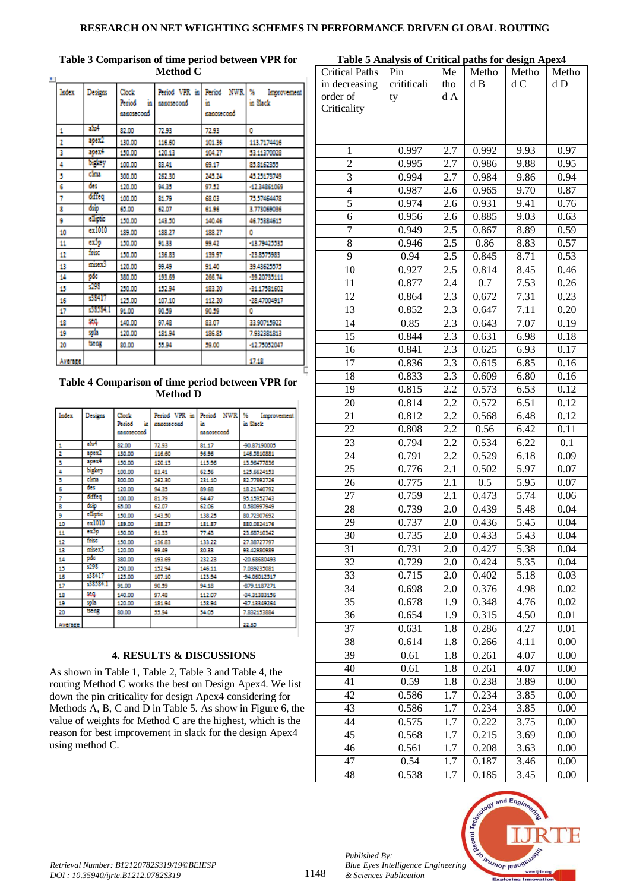### **RESEARCH ON NET WEIGHTING SCHEMES IN PERFORMANCE DRIVEN GLOBAL ROUTING**

| Index   | Designs    | Clock<br>'n<br>Period<br>nanosecond | Period VPR in<br>nanosecond | Period NWR<br>ä.<br>nanosecond | -96<br>Improvement<br>in Slack |
|---------|------------|-------------------------------------|-----------------------------|--------------------------------|--------------------------------|
| 1       | alu4       | 82.00                               | 72.93                       | 72.93                          | ٥                              |
| 2       | apex2      | 130.00                              | 116.60                      | 101.36                         | 113.7174416                    |
| 3       | apex4      | 150.00                              | 120.13                      | 104.27                         | 53.11370028                    |
| 4       | bidry      | 100.00                              | 83.41                       | 69.17                          | 85,8162355                     |
| 5       | clina      | 300.00                              | 262.30                      | 245.24                         | 45.25173749                    |
| 6       | des.       | 120.00                              | 94.35                       | 97.52                          | -12.34861069                   |
| 7       | dateq      | 100.00                              | 81.79                       | 68.03                          | 75.57464478                    |
| 8       | dsip       | 65.00                               | 62.07                       | 61.96                          | 3.773069036                    |
| 9       | elliptic   | 150.00                              | 143.50                      | 140.46                         | 46.75384615                    |
| 10      | $ext{010}$ | 189.00                              | 188.27                      | 188.27                         | ٥                              |
| 11      | exão       | 150.00                              | 91.33                       | 99.42                          | -13.79425535                   |
| 12      | frisc      | 150.00                              | 136.83                      | 139.97                         | -23.8575983                    |
| 13      | misex3     | 120.00                              | 99.49                       | 91.40                          | 39.43625575                    |
| 14      | рk         | 380.00                              | 193.69                      | 266.74                         | -39.20735111                   |
| 15      | 298        | 250.00                              | 152.94                      | 183.20                         | -31.17581602                   |
| 16      | 38417      | 125.00                              | 107.10                      | 112.20                         | -28.47004917                   |
| 17      | :38584.1   | 91.00                               | 90.59                       | 90.59                          | ٥                              |
| 18      | 88         | 140.00                              | 97.48                       | 83.07                          | 33.90715922                    |
| 19      | spia       | 120.00                              | 181.94                      | 186.85                         | 7.932381813                    |
| 20      | txeg       | 80.00                               | 55.94                       | 59.00                          | -12.75052047                   |
| Average |            |                                     |                             |                                | 17.18                          |

### **Table 4 Comparison of time period between VPR for Method D**

| Index          | Designs  | Clock:<br>Period<br>ä.<br>nanosecond | Period VPR in<br>sasosecond | Period NWR<br>69.<br>sasosecond | 96.<br>Improvement<br>in Slack |
|----------------|----------|--------------------------------------|-----------------------------|---------------------------------|--------------------------------|
| 1              | alist    | 82.00                                | 72.93                       | 81.17                           | -90.87190005                   |
| 2              | apex2    | 130.00                               | 116,60                      | 96.96                           | 146,5810881                    |
| з              | apex4    | 150.00                               | 120.13                      | 115.96                          | 13.96477836                    |
| 4              | bighey   | 100.00                               | 83.41                       | 62.56                           | 125.6624153                    |
| 5              | class    | 300.00                               | 262.30                      | 231.10                          | 82.77892726                    |
| 6              | des      | 120.00                               | 94.35                       | 89.68                           | 18.21740792                    |
| $\overline{7}$ | diffeq   | 100.00                               | 81.79                       | 64.47                           | 95.15952743                    |
| ε              | daip     | 65,00                                | 62.07                       | 62.06                           | 0.380997949                    |
| 9              | elladio  | 150.00                               | 143.50                      | 138.25                          | 80.72307692                    |
| 10             | ex1010   | 189.00                               | 188.27                      | 181.87                          | 880.0824176                    |
| 11             | exóp     | 150.00                               | 91.33                       | 77.43                           | 23.68710342                    |
| 12             | frec     | 150.00                               | 136.83                      | 133.22                          | 27.38727797                    |
| 13             | misex3   | 120.00                               | 99.49                       | 80.33                           | 93.42980989                    |
| 14             | pdc      | 380.00                               | 193.69                      | 232.23                          | $-20.68680493$                 |
| 15             | $-298$   | 250,00                               | 152.94                      | 146.11                          | 7.039235081                    |
| 16             | 38417    | 125.00                               | 107.10                      | 123.94                          | -94.06012517                   |
| 17             | 335334.1 | 91.00                                | 90.59                       | 94.18                           | -879.1187271                   |
| 18             | 56.03    | 140.00                               | 97.48                       | 112.07                          | -34.31383156                   |
| 19             | spia     | 120.00                               | 181.94                      | 158.94                          | -37.13349264                   |
| 20             | beag.    | 80.00                                | 55.94                       | 54.05                           | 7.832153884                    |
| Average        |          |                                      |                             |                                 | 22.35                          |

# **4. RESULTS & DISCUSSIONS**

As shown in Table 1, Table 2, Table 3 and Table 4, the routing Method C works the best on Design Apex4. We list down the pin criticality for design Apex4 considering for Methods A, B, C and D in Table 5. As show in Figure 6, the value of weights for Method C are the highest, which is the reason for best improvement in slack for the design Apex4 using method C.

| Table 5 Analysis of Critical paths for design Apex4 |             |                  |       |                   |       |  |
|-----------------------------------------------------|-------------|------------------|-------|-------------------|-------|--|
| <b>Critical Paths</b>                               | Pin         | Me               | Metho | Metho             | Metho |  |
| in decreasing                                       | crititicali | tho              | d B   | d C               | d D   |  |
| order of                                            | ty          | d A              |       |                   |       |  |
| Criticality                                         |             |                  |       |                   |       |  |
|                                                     |             |                  |       |                   |       |  |
|                                                     |             |                  |       |                   |       |  |
| 1                                                   | 0.997       | 2.7              | 0.992 | 9.93              | 0.97  |  |
| $\overline{2}$                                      | 0.995       | 2.7              | 0.986 | 9.88              | 0.95  |  |
| 3                                                   | 0.994       | 2.7              | 0.984 | 9.86              | 0.94  |  |
| $\overline{4}$                                      | 0.987       | 2.6              | 0.965 | 9.70              | 0.87  |  |
| 5                                                   | 0.974       | 2.6              | 0.931 | 9.41              | 0.76  |  |
| 6                                                   | 0.956       | 2.6              | 0.885 | 9.03              | 0.63  |  |
| 7                                                   | 0.949       | 2.5              | 0.867 | 8.89              | 0.59  |  |
| 8                                                   | 0.946       | 2.5              | 0.86  | 8.83              | 0.57  |  |
| 9                                                   | 0.94        | 2.5              | 0.845 | 8.71              | 0.53  |  |
| 10                                                  | 0.927       | 2.5              | 0.814 | 8.45              | 0.46  |  |
| 11                                                  | 0.877       | 2.4              | 0.7   | 7.53              | 0.26  |  |
| 12                                                  | 0.864       | $\overline{2.3}$ | 0.672 | 7.31              | 0.23  |  |
| 13                                                  | 0.852       | $\overline{2.3}$ | 0.647 | 7.11              | 0.20  |  |
| 14                                                  | 0.85        | 2.3              | 0.643 | 7.07              | 0.19  |  |
| 15                                                  | 0.844       | $2.\overline{3}$ | 0.631 | 6.98              | 0.18  |  |
| 16                                                  | 0.841       | 2.3              | 0.625 | 6.93              | 0.17  |  |
| 17                                                  | 0.836       | 2.3              | 0.615 | 6.85              | 0.16  |  |
| 18                                                  | 0.833       | 2.3              | 0.609 | 6.80              | 0.16  |  |
| 19                                                  | 0.815       | 2.2              | 0.573 | 6.53              | 0.12  |  |
| 20                                                  | 0.814       | 2.2              | 0.572 | 6.51              | 0.12  |  |
| 21                                                  | 0.812       | 2.2              | 0.568 | 6.48              | 0.12  |  |
| 22                                                  | 0.808       | 2.2              | 0.56  | 6.42              | 0.11  |  |
| 23                                                  | 0.794       | 2.2              | 0.534 | 6.22              | 0.1   |  |
| 24                                                  | 0.791       | 2.2              | 0.529 | 6.18              | 0.09  |  |
| 25                                                  | 0.776       | 2.1              | 0.502 | 5.97              | 0.07  |  |
| 26                                                  | 0.775       | 2.1              | 0.5   | 5.95              | 0.07  |  |
| 27                                                  | 0.759       | 2.1              | 0.473 | 5.74              | 0.06  |  |
| 28                                                  | 0.739       | 2.0              | 0.439 | 5.48              | 0.04  |  |
| 29                                                  | 0.737       | 2.0              | 0.436 | 5.45              | 0.04  |  |
| 30                                                  | 0.735       | 2.0              | 0.433 | 5.43              | 0.04  |  |
| 31                                                  | 0.731       | 2.0              | 0.427 | $\overline{5.38}$ | 0.04  |  |
| 32                                                  | 0.729       | 2.0              | 0.424 | 5.35              | 0.04  |  |
| 33                                                  | 0.715       | 2.0              | 0.402 | 5.18              | 0.03  |  |
| 34                                                  | 0.698       | 2.0              | 0.376 | 4.98              | 0.02  |  |
| 35                                                  | 0.678       | 1.9              | 0.348 | 4.76              | 0.02  |  |
| 36                                                  | 0.654       | 1.9              | 0.315 | 4.50              | 0.01  |  |
| 37                                                  | 0.631       | 1.8              | 0.286 | 4.27              | 0.01  |  |
| 38                                                  | 0.614       | 1.8              | 0.266 | 4.11              | 0.00  |  |
| 39                                                  | 0.61        | 1.8              | 0.261 | 4.07              | 0.00  |  |
| 40                                                  | 0.61        | 1.8              | 0.261 | 4.07              | 0.00  |  |
| 41                                                  | 0.59        | 1.8              | 0.238 | 3.89              | 0.00  |  |
| 42                                                  | 0.586       | 1.7              | 0.234 | 3.85              | 0.00  |  |
| 43                                                  | 0.586       | 1.7              | 0.234 | 3.85              | 0.00  |  |
| 44                                                  | 0.575       | 1.7              | 0.222 | 3.75              | 0.00  |  |
| 45                                                  | 0.568       | 1.7              | 0.215 | 3.69              | 0.00  |  |
| 46                                                  | 0.561       | 1.7              | 0.208 | 3.63              | 0.00  |  |
| 47                                                  | 0.54        | 1.7              | 0.187 | 3.46              | 0.00  |  |
| 48                                                  | 0.538       | 1.7              | 0.185 | 3.45              | 0.00  |  |
|                                                     |             |                  |       |                   |       |  |



## **Table 3 Comparison of time period between VPR for Method C**

*Published By:*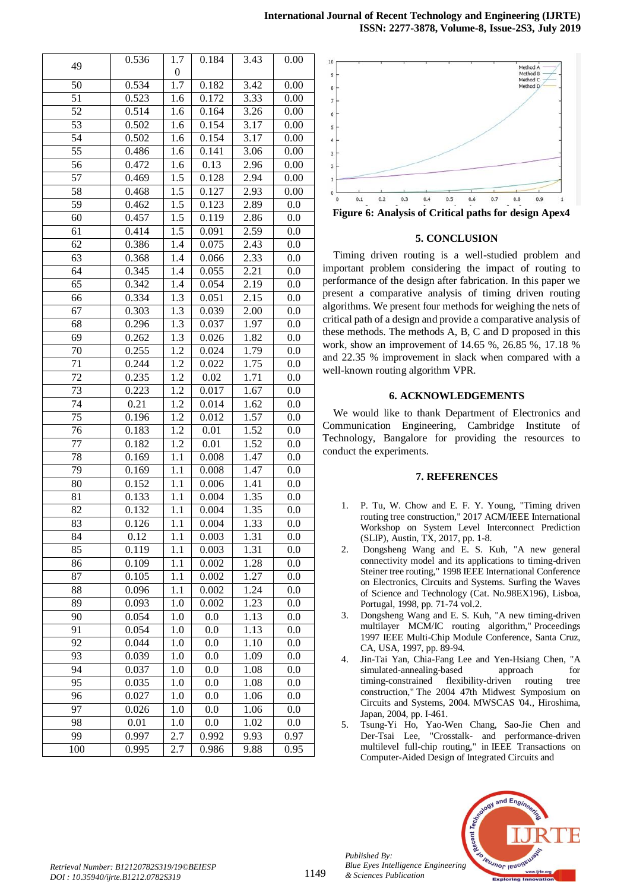|                 | 0.536    | 1.7              | 0.184 | 3.43              | 0.00 |
|-----------------|----------|------------------|-------|-------------------|------|
| 49              |          | $\theta$         |       |                   |      |
| 50              | 0.534    | 1.7              | 0.182 | 3.42              | 0.00 |
| 51              | 0.523    | 1.6              | 0.172 | 3.33              | 0.00 |
| 52              | 0.514    | 1.6              | 0.164 | 3.26              | 0.00 |
| $\overline{53}$ | 0.502    | 1.6              | 0.154 | 3.17              | 0.00 |
| 54              | 0.502    | 1.6              | 0.154 | 3.17              | 0.00 |
| 55              | 0.486    | 1.6              | 0.141 | 3.06              | 0.00 |
| 56              | 0.472    | 1.6              | 0.13  | 2.96              | 0.00 |
| 57              | 0.469    | $\overline{1.5}$ | 0.128 | 2.94              | 0.00 |
| 58              | 0.468    | 1.5              | 0.127 | 2.93              | 0.00 |
| 59              | 0.462    | 1.5              | 0.123 | 2.89              | 0.0  |
| 60              | 0.457    | 1.5              | 0.119 | 2.86              | 0.0  |
| 61              | 0.414    | 1.5              | 0.091 | 2.59              | 0.0  |
| 62              | 0.386    | 1.4              | 0.075 | 2.43              | 0.0  |
| 63              | 0.368    | 1.4              | 0.066 | 2.33              | 0.0  |
| 64              | 0.345    | 1.4              | 0.055 | $\overline{2.21}$ | 0.0  |
| 65              | 0.342    | 1.4              | 0.054 | 2.19              | 0.0  |
| 66              | 0.334    | 1.3              | 0.051 | 2.15              | 0.0  |
| 67              | 0.303    | 1.3              | 0.039 | 2.00              | 0.0  |
| 68              | 0.296    | $1.\overline{3}$ | 0.037 | 1.97              | 0.0  |
| 69              | 0.262    | 1.3              | 0.026 | 1.82              | 0.0  |
| 70              | 0.255    | 1.2              | 0.024 | 1.79              | 0.0  |
| 71              | 0.244    | 1.2              | 0.022 | 1.75              | 0.0  |
| 72              | 0.235    | 1.2              | 0.02  | 1.71              | 0.0  |
| 73              | 0.223    | $1.\overline{2}$ | 0.017 | 1.67              | 0.0  |
| 74              | 0.21     | 1.2              | 0.014 | 1.62              | 0.0  |
| 75              | 0.196    | 1.2              | 0.012 | 1.57              | 0.0  |
| 76              | 0.183    | $\overline{1.2}$ | 0.01  | 1.52              | 0.0  |
| 77              | 0.182    | 1.2              | 0.01  | 1.52              | 0.0  |
| 78              | 0.169    | 1.1              | 0.008 | 1.47              | 0.0  |
| 79              | 0.169    | 1.1              | 0.008 | 1.47              | 0.0  |
| 80              | 0.152    | 1.1              | 0.006 | 1.41              | 0.0  |
| 81              | 0.133    | 1.1              | 0.004 | 1.35              | 0.0  |
| 82              | 0.132    | 1.1              | 0.004 | 1.35              | 0.0  |
| 83              | 0.126    | 1.1              | 0.004 | 1.33              | 0.0  |
| 84              | 0.12     | 1.1              | 0.003 | 1.31              | 0.0  |
| 85              | 0.119    | 1.1              | 0.003 | 1.31              | 0.0  |
| 86              | 0.109    | 1.1              | 0.002 | 1.28              | 0.0  |
| 87              | 0.105    | 1.1              | 0.002 | 1.27              | 0.0  |
| 88              | 0.096    | 1.1              | 0.002 | 1.24              | 0.0  |
| 89              | 0.093    | 1.0              | 0.002 | 1.23              | 0.0  |
| 90              | 0.054    | 1.0              | 0.0   | 1.13              | 0.0  |
| 91              | 0.054    | 1.0              | 0.0   | 1.13              | 0.0  |
| 92              | 0.044    | 1.0              | 0.0   | 1.10              | 0.0  |
| 93              | 0.039    | 1.0              | 0.0   | 1.09              | 0.0  |
| 94              | 0.037    | 1.0              | 0.0   | 1.08              | 0.0  |
| 95              | 0.035    | 1.0              | 0.0   | 1.08              | 0.0  |
| 96              | 0.027    | 1.0              | 0.0   | 1.06              | 0.0  |
| 97              | 0.026    | 1.0              | 0.0   | 1.06              | 0.0  |
| 98              | $0.01\,$ | 1.0              | 0.0   | 1.02              | 0.0  |
| 99              | 0.997    | 2.7              | 0.992 | 9.93              | 0.97 |
| 100             | 0.995    | 2.7              | 0.986 | 9.88              | 0.95 |



**Figure 6: Analysis of Critical paths for design Apex4**

#### **5. CONCLUSION**

Timing driven routing is a well-studied problem and important problem considering the impact of routing to performance of the design after fabrication. In this paper we present a comparative analysis of timing driven routing algorithms. We present four methods for weighing the nets of critical path of a design and provide a comparative analysis of these methods. The methods A, B, C and D proposed in this work, show an improvement of 14.65 %, 26.85 %, 17.18 % and 22.35 % improvement in slack when compared with a well-known routing algorithm VPR.

#### **6. ACKNOWLEDGEMENTS**

We would like to thank Department of Electronics and Communication Engineering, Cambridge Institute of Technology, Bangalore for providing the resources to conduct the experiments.

#### **7. REFERENCES**

- 1. P. Tu, W. Chow and E. F. Y. Young, "Timing driven routing tree construction," 2017 ACM/IEEE International Workshop on System Level Interconnect Prediction (SLIP), Austin, TX, 2017, pp. 1-8.
- 2. Dongsheng Wang and E. S. Kuh, "A new general connectivity model and its applications to timing-driven Steiner tree routing," 1998 IEEE International Conference on Electronics, Circuits and Systems. Surfing the Waves of Science and Technology (Cat. No.98EX196), Lisboa, Portugal, 1998, pp. 71-74 vol.2.
- 3. Dongsheng Wang and E. S. Kuh, "A new timing-driven multilayer MCM/IC routing algorithm," Proceedings 1997 IEEE Multi-Chip Module Conference, Santa Cruz, CA, USA, 1997, pp. 89-94.
- 4. Jin-Tai Yan, Chia-Fang Lee and Yen-Hsiang Chen, "A simulated-annealing-based approach for timing-constrained flexibility-driven routing tree construction," The 2004 47th Midwest Symposium on Circuits and Systems, 2004. MWSCAS '04., Hiroshima, Japan, 2004, pp. I-461.
- 5. Tsung-Yi Ho, Yao-Wen Chang, Sao-Jie Chen and Der-Tsai Lee, "Crosstalk- and performance-driven multilevel full-chip routing," in IEEE Transactions on Computer-Aided Design of Integrated Circuits and



0

*Published By:*